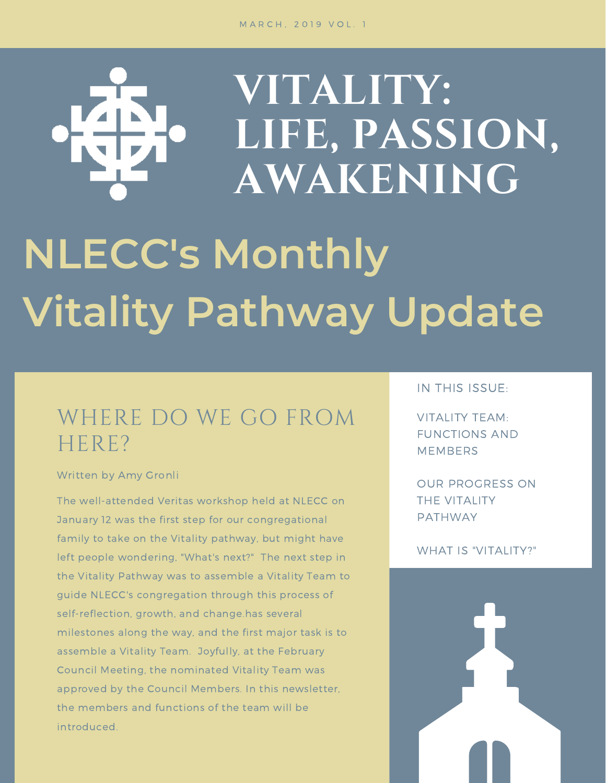# **VITALITY: LIFE, PASSION, AWAKENING NLECC's Monthly Vitality Pathway Update**

# WHERE DO WE GO FROM HERE?

#### Written by Amy Gronli

The well-attended Veritas workshop held at NLECC on January 12 was the first step for our congregational family to take on the Vitality pathway, but might have left people wondering, "What's next?" The next step in the Vitality Pathway was to assemble a Vitality Team to guide NLECC's congregation through this process of self-reflection, growth, and change.has several milestones along the way, and the first major task is to assemble a Vitality Team. Joyfully, at the February Council Meeting, the nominated Vitality Team was approved by the Council Members. In this newsletter, the members and functions of the team will be introduced.

### IN THIS ISSUE:

VITALITY TEAM: FUNCTIONS AND MEMBERS

OUR PROGRESS ON THE VITALITY PATHWAY

#### WHAT IS "VITALITY?"

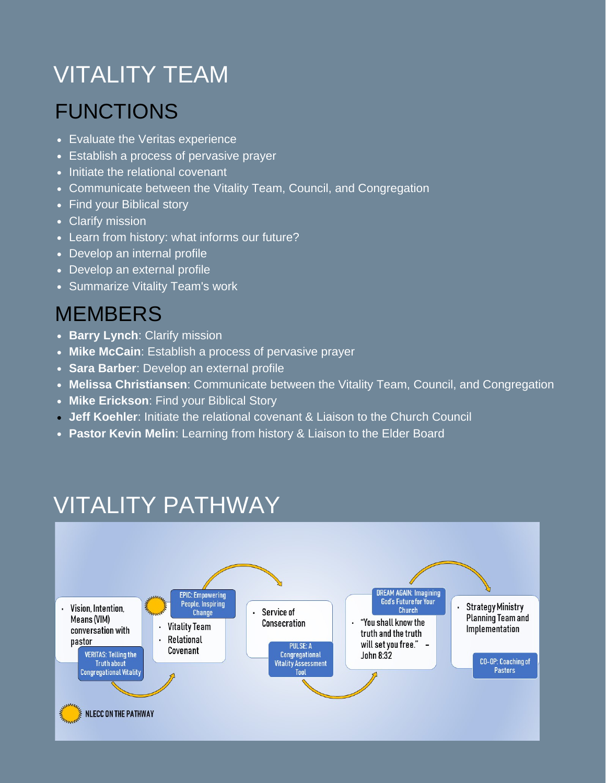# VITALITY TEAM

## FUNCTIONS

- Evaluate the Veritas experience
- Establish a process of pervasive prayer
- Initiate the relational covenant
- Communicate between the Vitality Team, Council, and Congregation
- Find your Biblical story
- Clarify mission
- Learn from history: what informs our future?
- Develop an internal profile
- Develop an external profile
- Summarize Vitality Team's work

### **MEMBERS**

- **Barry Lynch: Clarify mission**
- **Mike McCain**: Establish a process of pervasive prayer
- **Sara Barber**: Develop an external profile
- **Melissa Christiansen**: Communicate between the Vitality Team, Council, and Congregation
- **Mike Erickson**: Find your Biblical Story
- **Jeff Koehler**: Initiate the relational covenant & Liaison to the Church Council
- **Pastor Kevin Melin**: Learning from history & Liaison to the Elder Board

# VITALITY PATHWAY